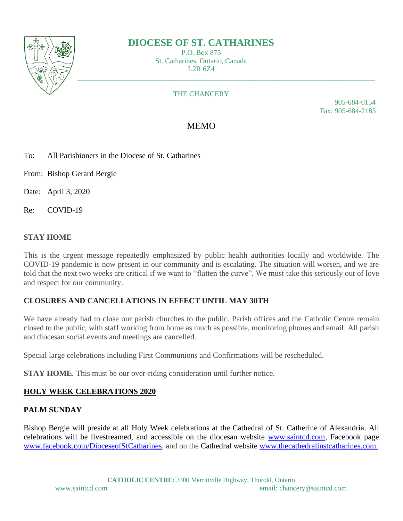

# **DIOCESE OF ST. CATHARINES**

P.O. Box 875 St. Catharines, Ontario, Canada L2R 6Z4

#### THE CHANCERY

905-684-0154 Fax: 905-684-2185

## MEMO

- To: All Parishioners in the Diocese of St. Catharines
- From: Bishop Gerard Bergie

Date: April 3, 2020

Re: COVID-19

#### **STAY HOME**

This is the urgent message repeatedly emphasized by public health authorities locally and worldwide. The COVID-19 pandemic is now present in our community and is escalating. The situation will worsen, and we are told that the next two weeks are critical if we want to "flatten the curve". We must take this seriously out of love and respect for our community.

### **CLOSURES AND CANCELLATIONS IN EFFECT UNTIL MAY 30TH**

We have already had to close our parish churches to the public. Parish offices and the Catholic Centre remain closed to the public, with staff working from home as much as possible, monitoring phones and email. All parish and diocesan social events and meetings are cancelled.

Special large celebrations including First Communions and Confirmations will be rescheduled.

**STAY HOME**. This must be our over-riding consideration until further notice.

#### **HOLY WEEK CELEBRATIONS 2020**

#### **PALM SUNDAY**

Bishop Bergie will preside at all Holy Week celebrations at the Cathedral of St. Catherine of Alexandria. All celebrations will be livestreamed, and accessible on the diocesan website [www.saintcd.com,](http://www.saintcd.com/) Facebook page [www.facebook.com/DioceseofStCatharines,](http://www.facebook.com/DioceseofStCatharines/) and on the Cathedral website [www.thecathedralinstcatharines.com.](http://www.thecathedralinstcatharines.com/)